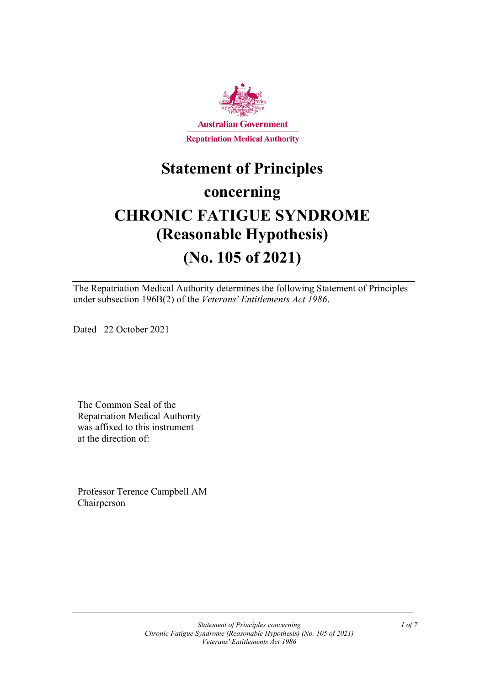

# **Statement of Principles concerning CHRONIC FATIGUE SYNDROME (Reasonable Hypothesis) (No. 105 of 2021)**

The Repatriation Medical Authority determines the following Statement of Principles under subsection 196B(2) of the *Veterans' Entitlements Act 1986*.

Dated 22 October 2021

The Common Seal of the Repatriation Medical Authority was affixed to this instrument at the direction of:

Professor Terence Campbell AM Chairperson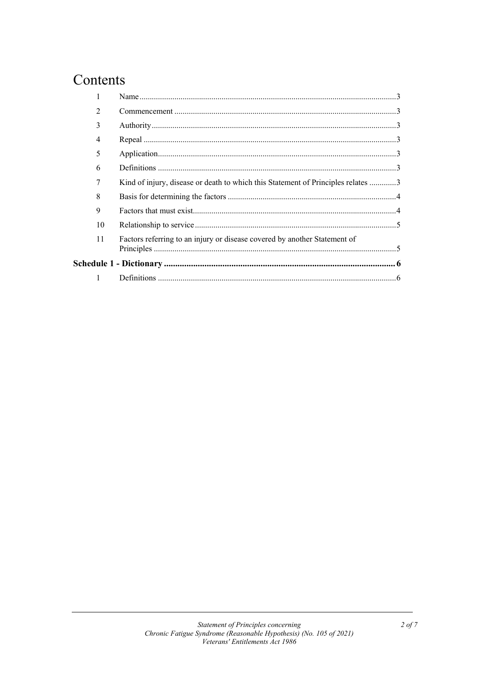# Contents

| $\mathfrak{D}$ |                                                                                  |  |
|----------------|----------------------------------------------------------------------------------|--|
| 3              |                                                                                  |  |
| 4              |                                                                                  |  |
| 5              |                                                                                  |  |
| 6              |                                                                                  |  |
|                | Kind of injury, disease or death to which this Statement of Principles relates 3 |  |
| 8              |                                                                                  |  |
| 9              |                                                                                  |  |
| 10             |                                                                                  |  |
| 11             | Factors referring to an injury or disease covered by another Statement of        |  |
|                |                                                                                  |  |
| $\mathbf{1}$   |                                                                                  |  |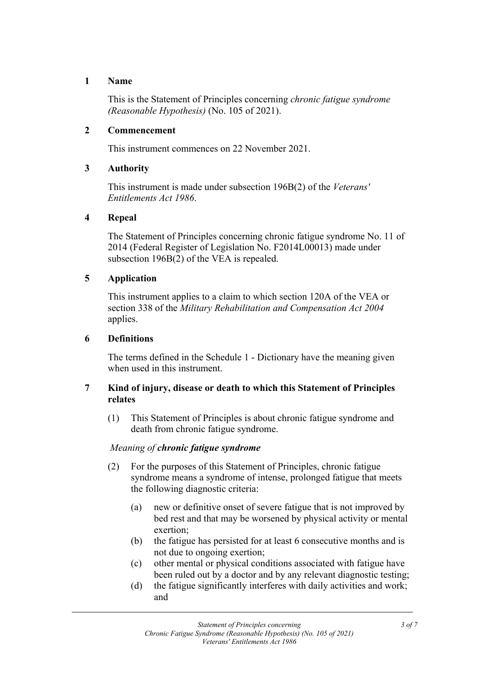# **1 Name**

This is the Statement of Principles concerning *chronic fatigue syndrome (Reasonable Hypothesis)* (No. 105 of 2021).

# **2 Commencement**

This instrument commences on 22 November 2021.

# **3 Authority**

This instrument is made under subsection 196B(2) of the *Veterans' Entitlements Act 1986*.

# **4 Repeal**

The Statement of Principles concerning chronic fatigue syndrome No. 11 of 2014 (Federal Register of Legislation No. F2014L00013) made under subsection 196B(2) of the VEA is repealed.

# **5 Application**

This instrument applies to a claim to which section 120A of the VEA or section 338 of the *Military Rehabilitation and Compensation Act 2004* applies.

# **6 Definitions**

The terms defined in the Schedule 1 - Dictionary have the meaning given when used in this instrument.

# **7 Kind of injury, disease or death to which this Statement of Principles relates**

(1) This Statement of Principles is about chronic fatigue syndrome and death from chronic fatigue syndrome.

# *Meaning of chronic fatigue syndrome*

- (2) For the purposes of this Statement of Principles, chronic fatigue syndrome means a syndrome of intense, prolonged fatigue that meets the following diagnostic criteria:
	- (a) new or definitive onset of severe fatigue that is not improved by bed rest and that may be worsened by physical activity or mental exertion;
	- (b) the fatigue has persisted for at least 6 consecutive months and is not due to ongoing exertion;
	- (c) other mental or physical conditions associated with fatigue have been ruled out by a doctor and by any relevant diagnostic testing;
	- (d) the fatigue significantly interferes with daily activities and work; and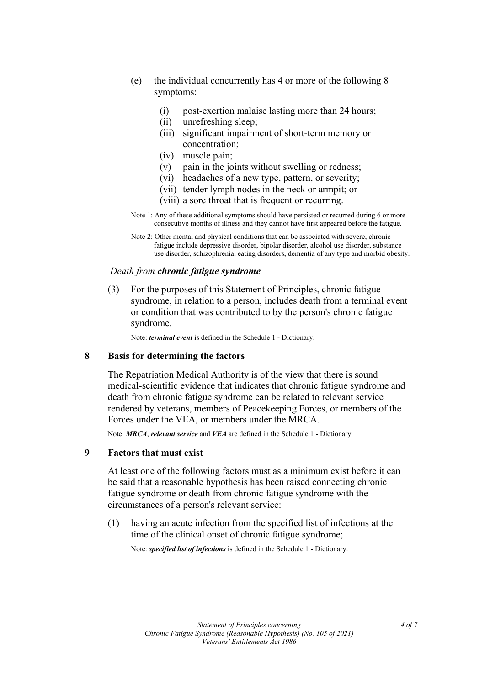- (e) the individual concurrently has 4 or more of the following 8 symptoms:
	- (i) post-exertion malaise lasting more than 24 hours;
	- (ii) unrefreshing sleep;
	- (iii) significant impairment of short-term memory or concentration;
	- (iv) muscle pain;
	- (v) pain in the joints without swelling or redness;
	- (vi) headaches of a new type, pattern, or severity;
	- (vii) tender lymph nodes in the neck or armpit; or
	- (viii) a sore throat that is frequent or recurring.
- Note 1: Any of these additional symptoms should have persisted or recurred during 6 or more consecutive months of illness and they cannot have first appeared before the fatigue.
- Note 2: Other mental and physical conditions that can be associated with severe, chronic fatigue include depressive disorder, bipolar disorder, alcohol use disorder, substance use disorder, schizophrenia, eating disorders, dementia of any type and morbid obesity.

#### *Death from chronic fatigue syndrome*

(3) For the purposes of this Statement of Principles, chronic fatigue syndrome, in relation to a person, includes death from a terminal event or condition that was contributed to by the person's chronic fatigue syndrome.

Note: *terminal event* is defined in the Schedule 1 - Dictionary.

#### **8 Basis for determining the factors**

The Repatriation Medical Authority is of the view that there is sound medical-scientific evidence that indicates that chronic fatigue syndrome and death from chronic fatigue syndrome can be related to relevant service rendered by veterans, members of Peacekeeping Forces, or members of the Forces under the VEA, or members under the MRCA.

Note: *MRCA*, *relevant service* and *VEA* are defined in the Schedule 1 - Dictionary.

#### **9 Factors that must exist**

At least one of the following factors must as a minimum exist before it can be said that a reasonable hypothesis has been raised connecting chronic fatigue syndrome or death from chronic fatigue syndrome with the circumstances of a person's relevant service:

(1) having an acute infection from the specified list of infections at the time of the clinical onset of chronic fatigue syndrome;

Note: *specified list of infections* is defined in the Schedule 1 - Dictionary.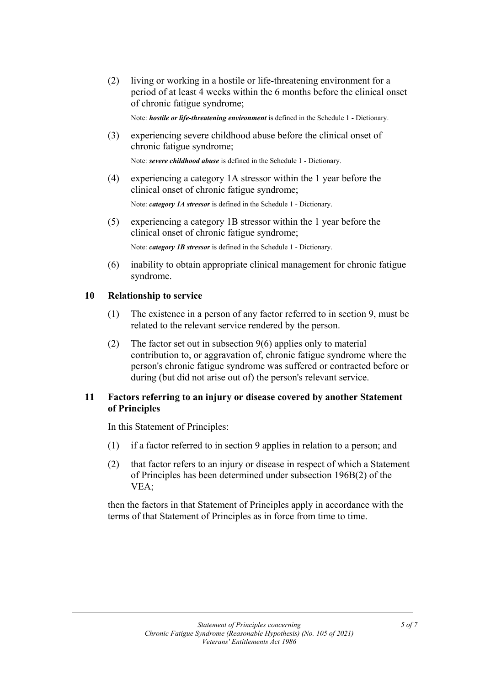(2) living or working in a hostile or life-threatening environment for a period of at least 4 weeks within the 6 months before the clinical onset of chronic fatigue syndrome;

Note: *hostile or life-threatening environment* is defined in the Schedule 1 - Dictionary.

(3) experiencing severe childhood abuse before the clinical onset of chronic fatigue syndrome;

Note: *severe childhood abuse* is defined in the Schedule 1 - Dictionary.

(4) experiencing a category 1A stressor within the 1 year before the clinical onset of chronic fatigue syndrome;

Note: *category 1A stressor* is defined in the Schedule 1 - Dictionary.

(5) experiencing a category 1B stressor within the 1 year before the clinical onset of chronic fatigue syndrome;

Note: *category 1B stressor* is defined in the Schedule 1 - Dictionary.

(6) inability to obtain appropriate clinical management for chronic fatigue syndrome.

#### **10 Relationship to service**

- (1) The existence in a person of any factor referred to in section 9, must be related to the relevant service rendered by the person.
- (2) The factor set out in subsection 9(6) applies only to material contribution to, or aggravation of, chronic fatigue syndrome where the person's chronic fatigue syndrome was suffered or contracted before or during (but did not arise out of) the person's relevant service.

# **11 Factors referring to an injury or disease covered by another Statement of Principles**

In this Statement of Principles:

- (1) if a factor referred to in section 9 applies in relation to a person; and
- (2) that factor refers to an injury or disease in respect of which a Statement of Principles has been determined under subsection 196B(2) of the VEA;

then the factors in that Statement of Principles apply in accordance with the terms of that Statement of Principles as in force from time to time.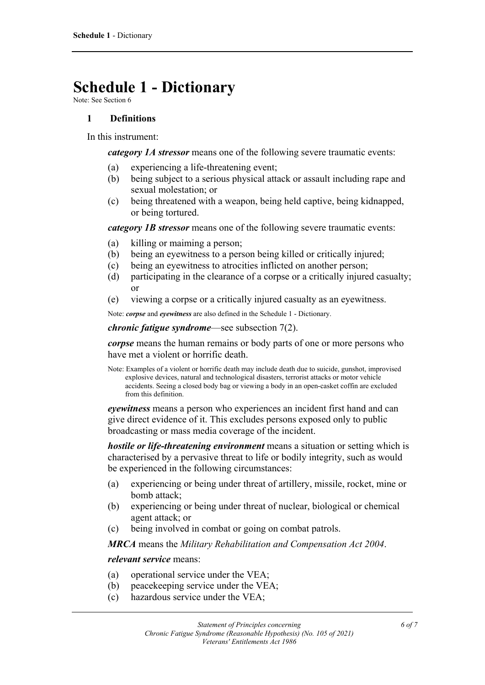# **Schedule 1 - Dictionary**

Note: See Section 6

# **1 Definitions**

In this instrument:

*category 1A stressor* means one of the following severe traumatic events:

- (a) experiencing a life-threatening event;
- (b) being subject to a serious physical attack or assault including rape and sexual molestation; or
- (c) being threatened with a weapon, being held captive, being kidnapped, or being tortured.

*category 1B stressor* means one of the following severe traumatic events:

- (a) killing or maiming a person;
- (b) being an eyewitness to a person being killed or critically injured;
- (c) being an eyewitness to atrocities inflicted on another person;
- (d) participating in the clearance of a corpse or a critically injured casualty; or
- (e) viewing a corpse or a critically injured casualty as an eyewitness.

Note: *corpse* and *eyewitness* are also defined in the Schedule 1 - Dictionary.

*chronic fatigue syndrome*—see subsection 7(2).

*corpse* means the human remains or body parts of one or more persons who have met a violent or horrific death.

Note: Examples of a violent or horrific death may include death due to suicide, gunshot, improvised explosive devices, natural and technological disasters, terrorist attacks or motor vehicle accidents. Seeing a closed body bag or viewing a body in an open-casket coffin are excluded from this definition.

*eyewitness* means a person who experiences an incident first hand and can give direct evidence of it. This excludes persons exposed only to public broadcasting or mass media coverage of the incident.

*hostile or life-threatening environment* means a situation or setting which is characterised by a pervasive threat to life or bodily integrity, such as would be experienced in the following circumstances:

- (a) experiencing or being under threat of artillery, missile, rocket, mine or bomb attack;
- (b) experiencing or being under threat of nuclear, biological or chemical agent attack; or
- (c) being involved in combat or going on combat patrols.

*MRCA* means the *Military Rehabilitation and Compensation Act 2004*.

*relevant service* means:

- (a) operational service under the VEA;
- (b) peacekeeping service under the VEA;
- (c) hazardous service under the VEA;